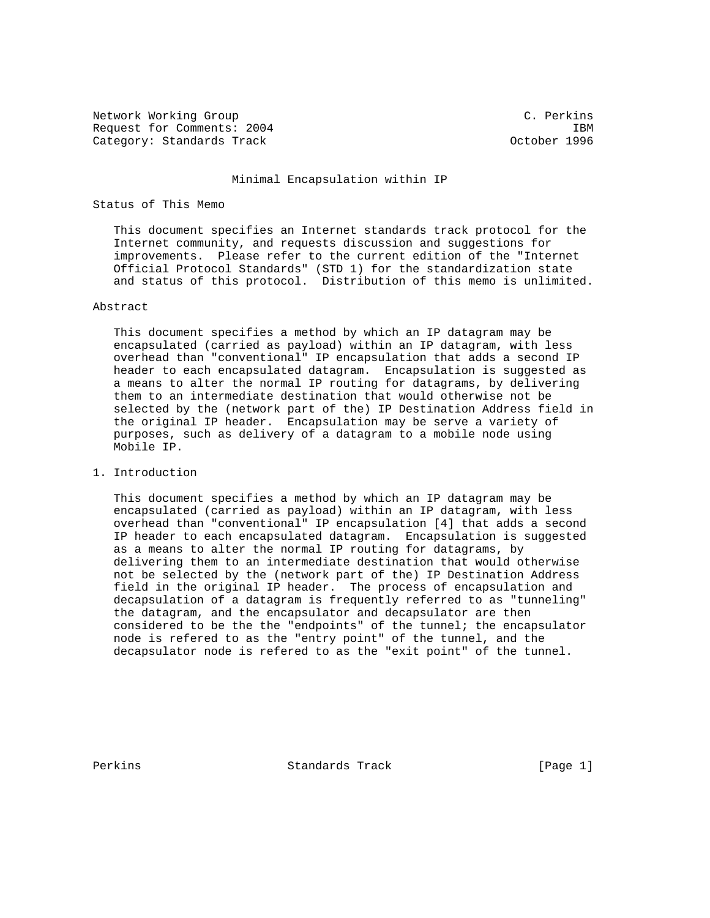Network Working Group C. Perkins Request for Comments: 2004 IBM Category: Standards Track Category: Standards Track Category: October 1996

### Minimal Encapsulation within IP

# Status of This Memo

 This document specifies an Internet standards track protocol for the Internet community, and requests discussion and suggestions for improvements. Please refer to the current edition of the "Internet Official Protocol Standards" (STD 1) for the standardization state and status of this protocol. Distribution of this memo is unlimited.

# Abstract

 This document specifies a method by which an IP datagram may be encapsulated (carried as payload) within an IP datagram, with less overhead than "conventional" IP encapsulation that adds a second IP header to each encapsulated datagram. Encapsulation is suggested as a means to alter the normal IP routing for datagrams, by delivering them to an intermediate destination that would otherwise not be selected by the (network part of the) IP Destination Address field in the original IP header. Encapsulation may be serve a variety of purposes, such as delivery of a datagram to a mobile node using Mobile IP.

# 1. Introduction

 This document specifies a method by which an IP datagram may be encapsulated (carried as payload) within an IP datagram, with less overhead than "conventional" IP encapsulation [4] that adds a second IP header to each encapsulated datagram. Encapsulation is suggested as a means to alter the normal IP routing for datagrams, by delivering them to an intermediate destination that would otherwise not be selected by the (network part of the) IP Destination Address field in the original IP header. The process of encapsulation and decapsulation of a datagram is frequently referred to as "tunneling" the datagram, and the encapsulator and decapsulator are then considered to be the the "endpoints" of the tunnel; the encapsulator node is refered to as the "entry point" of the tunnel, and the decapsulator node is refered to as the "exit point" of the tunnel.

Perkins **Example 2** Standards Track [Page 1]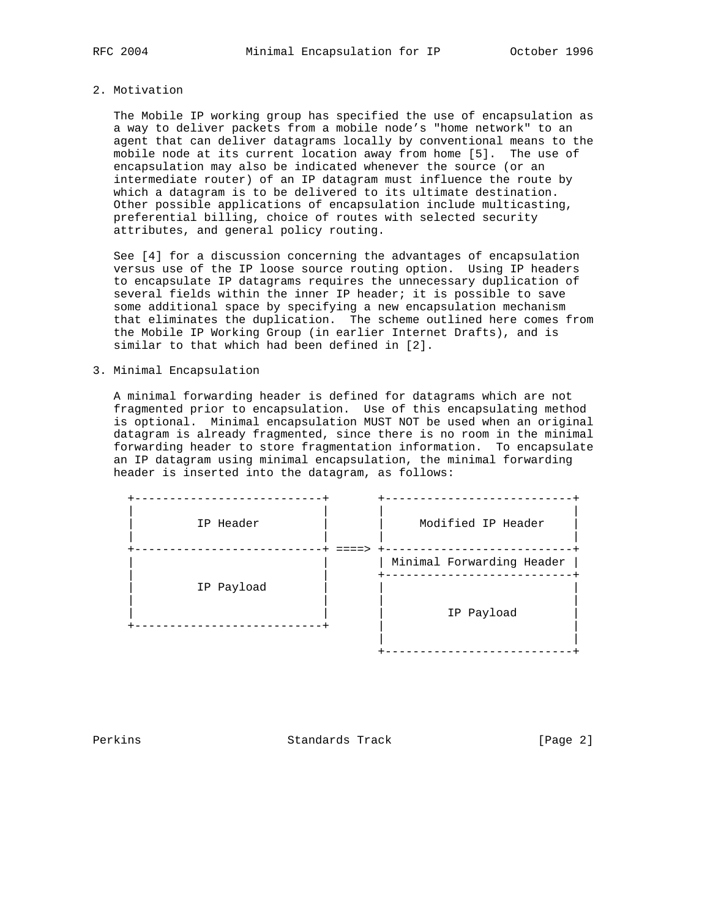### 2. Motivation

 The Mobile IP working group has specified the use of encapsulation as a way to deliver packets from a mobile node's "home network" to an agent that can deliver datagrams locally by conventional means to the mobile node at its current location away from home [5]. The use of encapsulation may also be indicated whenever the source (or an intermediate router) of an IP datagram must influence the route by which a datagram is to be delivered to its ultimate destination. Other possible applications of encapsulation include multicasting, preferential billing, choice of routes with selected security attributes, and general policy routing.

 See [4] for a discussion concerning the advantages of encapsulation versus use of the IP loose source routing option. Using IP headers to encapsulate IP datagrams requires the unnecessary duplication of several fields within the inner IP header; it is possible to save some additional space by specifying a new encapsulation mechanism that eliminates the duplication. The scheme outlined here comes from the Mobile IP Working Group (in earlier Internet Drafts), and is similar to that which had been defined in [2].

# 3. Minimal Encapsulation

 A minimal forwarding header is defined for datagrams which are not fragmented prior to encapsulation. Use of this encapsulating method is optional. Minimal encapsulation MUST NOT be used when an original datagram is already fragmented, since there is no room in the minimal forwarding header to store fragmentation information. To encapsulate an IP datagram using minimal encapsulation, the minimal forwarding header is inserted into the datagram, as follows:

| IP Header  | Modified IP Header        |
|------------|---------------------------|
|            | Minimal Forwarding Header |
| IP Payload | IP Payload                |
|            |                           |

Perkins **Example 2** Standards Track **Example 2** [Page 2]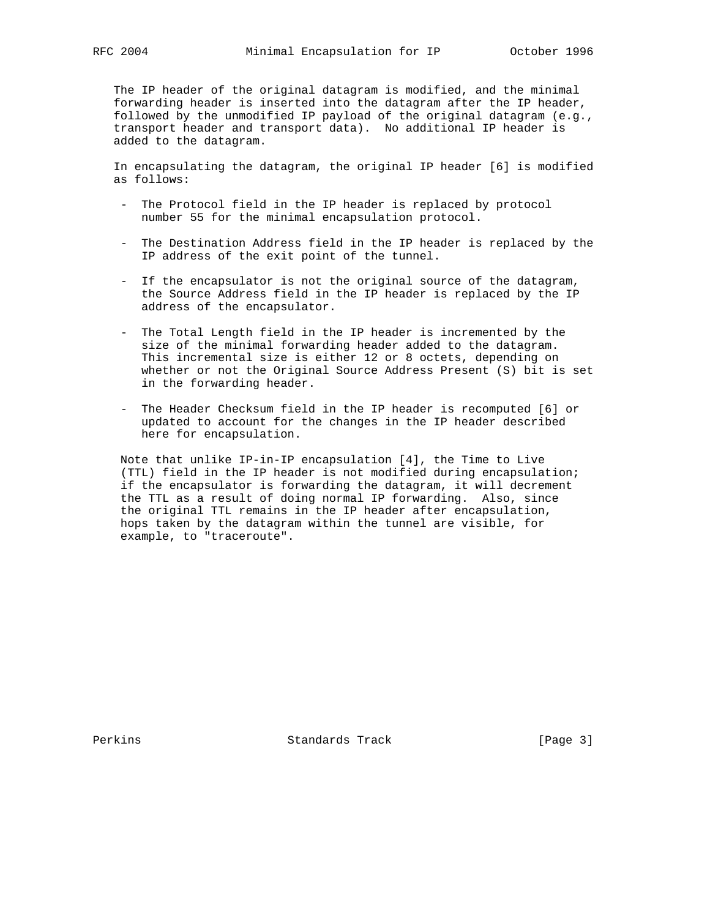The IP header of the original datagram is modified, and the minimal forwarding header is inserted into the datagram after the IP header, followed by the unmodified IP payload of the original datagram (e.g., transport header and transport data). No additional IP header is added to the datagram.

 In encapsulating the datagram, the original IP header [6] is modified as follows:

- The Protocol field in the IP header is replaced by protocol number 55 for the minimal encapsulation protocol.
- The Destination Address field in the IP header is replaced by the IP address of the exit point of the tunnel.
- If the encapsulator is not the original source of the datagram, the Source Address field in the IP header is replaced by the IP address of the encapsulator.
- The Total Length field in the IP header is incremented by the size of the minimal forwarding header added to the datagram. This incremental size is either 12 or 8 octets, depending on whether or not the Original Source Address Present (S) bit is set in the forwarding header.
- The Header Checksum field in the IP header is recomputed [6] or updated to account for the changes in the IP header described here for encapsulation.

 Note that unlike IP-in-IP encapsulation [4], the Time to Live (TTL) field in the IP header is not modified during encapsulation; if the encapsulator is forwarding the datagram, it will decrement the TTL as a result of doing normal IP forwarding. Also, since the original TTL remains in the IP header after encapsulation, hops taken by the datagram within the tunnel are visible, for example, to "traceroute".

Perkins **Example 2** Standards Track **Example 2** [Page 3]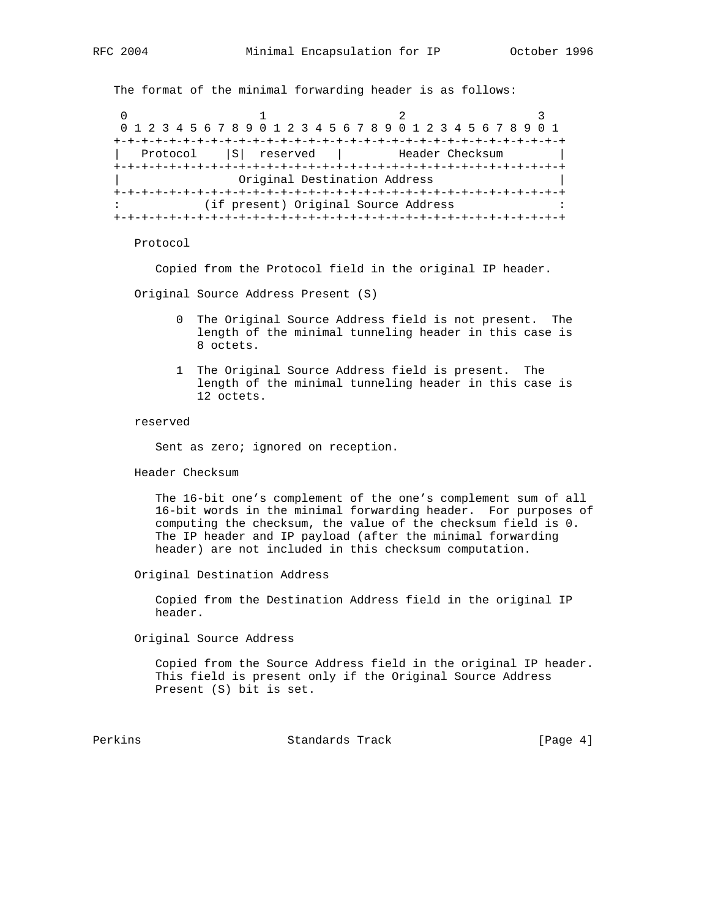The format of the minimal forwarding header is as follows:

0  $1$  2 3 0 1 2 3 4 5 6 7 8 9 0 1 2 3 4 5 6 7 8 9 0 1 2 3 4 5 6 7 8 9 0 1 +-+-+-+-+-+-+-+-+-+-+-+-+-+-+-+-+-+-+-+-+-+-+-+-+-+-+-+-+-+-+-+-+ Protocol |S| reserved | Header Checksum +-+-+-+-+-+-+-+-+-+-+-+-+-+-+-+-+-+-+-+-+-+-+-+-+-+-+-+-+-+-+-+-+ | Original Destination Address | +-+-+-+-+-+-+-+-+-+-+-+-+-+-+-+-+-+-+-+-+-+-+-+-+-+-+-+-+-+-+-+-+ (if present) Original Source Address +-+-+-+-+-+-+-+-+-+-+-+-+-+-+-+-+-+-+-+-+-+-+-+-+-+-+-+-+-+-+-+-+

### Protocol

Copied from the Protocol field in the original IP header.

Original Source Address Present (S)

- 0 The Original Source Address field is not present. The length of the minimal tunneling header in this case is 8 octets.
- 1 The Original Source Address field is present. The length of the minimal tunneling header in this case is 12 octets.

#### reserved

Sent as zero; ignored on reception.

Header Checksum

 The 16-bit one's complement of the one's complement sum of all 16-bit words in the minimal forwarding header. For purposes of computing the checksum, the value of the checksum field is 0. The IP header and IP payload (after the minimal forwarding header) are not included in this checksum computation.

Original Destination Address

 Copied from the Destination Address field in the original IP header.

Original Source Address

 Copied from the Source Address field in the original IP header. This field is present only if the Original Source Address Present (S) bit is set.

Perkins **Example 2** Standards Track **Frack** [Page 4]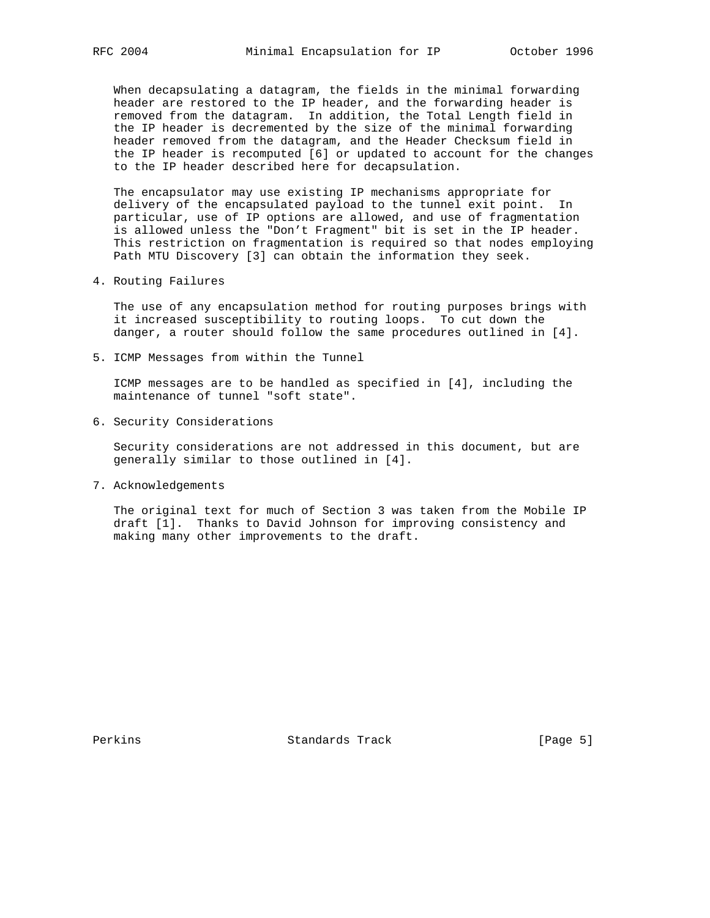When decapsulating a datagram, the fields in the minimal forwarding header are restored to the IP header, and the forwarding header is removed from the datagram. In addition, the Total Length field in the IP header is decremented by the size of the minimal forwarding header removed from the datagram, and the Header Checksum field in the IP header is recomputed [6] or updated to account for the changes to the IP header described here for decapsulation.

 The encapsulator may use existing IP mechanisms appropriate for delivery of the encapsulated payload to the tunnel exit point. In particular, use of IP options are allowed, and use of fragmentation is allowed unless the "Don't Fragment" bit is set in the IP header. This restriction on fragmentation is required so that nodes employing Path MTU Discovery [3] can obtain the information they seek.

4. Routing Failures

 The use of any encapsulation method for routing purposes brings with it increased susceptibility to routing loops. To cut down the danger, a router should follow the same procedures outlined in [4].

5. ICMP Messages from within the Tunnel

 ICMP messages are to be handled as specified in [4], including the maintenance of tunnel "soft state".

6. Security Considerations

 Security considerations are not addressed in this document, but are generally similar to those outlined in [4].

7. Acknowledgements

 The original text for much of Section 3 was taken from the Mobile IP draft [1]. Thanks to David Johnson for improving consistency and making many other improvements to the draft.

Perkins **Example 2** Standards Track **Figure 2** [Page 5]